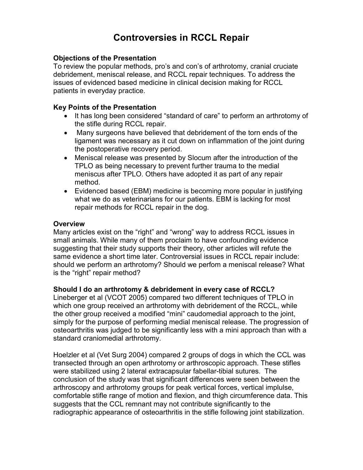# Controversies in RCCL Repair

### Objections of the Presentation

To review the popular methods, pro's and con's of arthrotomy, cranial cruciate debridement, meniscal release, and RCCL repair techniques. To address the issues of evidenced based medicine in clinical decision making for RCCL patients in everyday practice.

#### Key Points of the Presentation

- It has long been considered "standard of care" to perform an arthrotomy of the stifle during RCCL repair.
- Many surgeons have believed that debridement of the torn ends of the ligament was necessary as it cut down on inflammation of the joint during the postoperative recovery period.
- Meniscal release was presented by Slocum after the introduction of the TPLO as being necessary to prevent further trauma to the medial meniscus after TPLO. Others have adopted it as part of any repair method.
- Evidenced based (EBM) medicine is becoming more popular in justifying what we do as veterinarians for our patients. EBM is lacking for most repair methods for RCCL repair in the dog.

#### **Overview**

Many articles exist on the "right" and "wrong" way to address RCCL issues in small animals. While many of them proclaim to have confounding evidence suggesting that their study supports their theory, other articles will refute the same evidence a short time later. Controversial issues in RCCL repair include: should we perform an arthrotomy? Should we perfom a meniscal release? What is the "right" repair method?

#### Should I do an arthrotomy & debridement in every case of RCCL?

Lineberger et al (VCOT 2005) compared two different techniques of TPLO in which one group received an arthrotomy with debridement of the RCCL, while the other group received a modified "mini" caudomedial approach to the joint, simply for the purpose of performing medial meniscal release. The progression of osteoarthritis was judged to be significantly less with a mini approach than with a standard craniomedial arthrotomy.

Hoelzler et al (Vet Surg 2004) compared 2 groups of dogs in which the CCL was transected through an open arthrotomy or arthroscopic approach. These stifles were stabilized using 2 lateral extracapsular fabellar-tibial sutures. The conclusion of the study was that significant differences were seen between the arthroscopy and arthrotomy groups for peak vertical forces, vertical implulse, comfortable stifle range of motion and flexion, and thigh circumference data. This suggests that the CCL remnant may not contribute significantly to the radiographic appearance of osteoarthritis in the stifle following joint stabilization.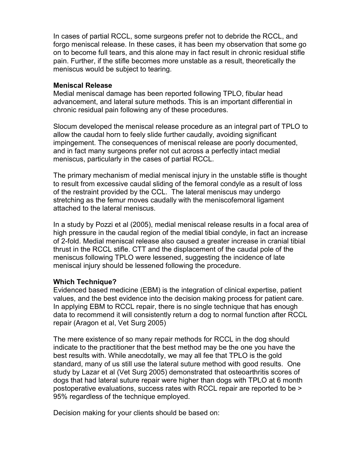In cases of partial RCCL, some surgeons prefer not to debride the RCCL, and forgo meniscal release. In these cases, it has been my observation that some go on to become full tears, and this alone may in fact result in chronic residual stifle pain. Further, if the stifle becomes more unstable as a result, theoretically the meniscus would be subject to tearing.

#### Meniscal Release

Medial meniscal damage has been reported following TPLO, fibular head advancement, and lateral suture methods. This is an important differential in chronic residual pain following any of these procedures.

Slocum developed the meniscal release procedure as an integral part of TPLO to allow the caudal horn to feely slide further caudally, avoiding significant impingement. The consequences of meniscal release are poorly documented, and in fact many surgeons prefer not cut across a perfectly intact medial meniscus, particularly in the cases of partial RCCL.

The primary mechanism of medial meniscal injury in the unstable stifle is thought to result from excessive caudal sliding of the femoral condyle as a result of loss of the restraint provided by the CCL. The lateral meniscus may undergo stretching as the femur moves caudally with the meniscofemoral ligament attached to the lateral meniscus.

In a study by Pozzi et al (2005), medial meniscal release results in a focal area of high pressure in the caudal region of the medial tibial condyle, in fact an increase of 2-fold. Medial meniscal release also caused a greater increase in cranial tibial thrust in the RCCL stifle. CTT and the displacement of the caudal pole of the meniscus following TPLO were lessened, suggesting the incidence of late meniscal injury should be lessened following the procedure.

#### Which Technique?

Evidenced based medicine (EBM) is the integration of clinical expertise, patient values, and the best evidence into the decision making process for patient care. In applying EBM to RCCL repair, there is no single technique that has enough data to recommend it will consistently return a dog to normal function after RCCL repair (Aragon et al, Vet Surg 2005)

The mere existence of so many repair methods for RCCL in the dog should indicate to the practitioner that the best method may be the one you have the best results with. While anecdotally, we may all fee that TPLO is the gold standard, many of us still use the lateral suture method with good results. One study by Lazar et al (Vet Surg 2005) demonstrated that osteoarthritis scores of dogs that had lateral suture repair were higher than dogs with TPLO at 6 month postoperative evaluations, success rates with RCCL repair are reported to be > 95% regardless of the technique employed.

Decision making for your clients should be based on: